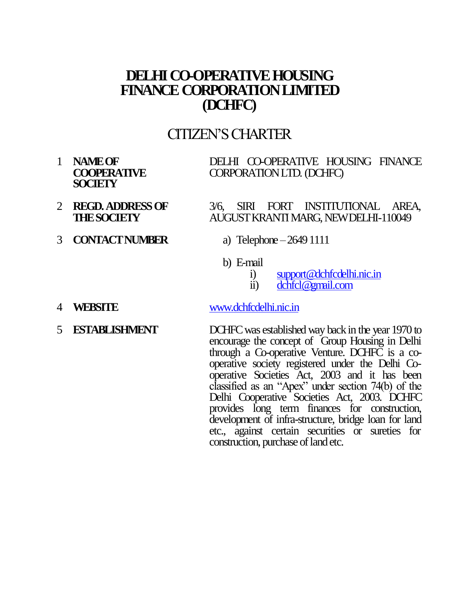# **DELHI CO-OPERATIVE HOUSING FINANCE CORPORATION LIMITED (DCHFC)**

# CITIZEN"S CHARTER

1 **NAME OF COOPERATIVE SOCIETY**

DELHI CO-OPERATIVE HOUSING FINANCE CORPORATION LTD. (DCHFC)

- 2 **REGD. ADDRESSOF THE SOCIETY** 3/6, SIRI FORT INSTITUTIONAL AREA, AUGUST KRANTI MARG, NEW DELHI-110049
- 3 **CONTACT NUMBER** a) Telephone –2649 1111
- - b) E-mail
		- i) [support@dchfcdelhi.nic.in](mailto:support@dchfcdelhi.nic.in)
		- ii) [dchfcl@gmail.com](mailto:dchfcl@gmail.com)
- 4 **WEBSITE** [www.dchfcdelhi.nic.in](http://www.dchfcdelhi.nic.in/)
- 

5 **ESTABLISHMENT** DCHFC was established way back in the year 1970 to encourage the concept of Group Housing in Delhi through a Co-operative Venture. DCHFC is a cooperative society registered under the Delhi Cooperative Societies Act, 2003 and it has been classified as an "Apex" under section 74(b) of the Delhi Cooperative Societies Act, 2003. DCHFC provides long term finances for construction, development of infra-structure, bridge loan for land etc., against certain securities or sureties for construction, purchase of land etc.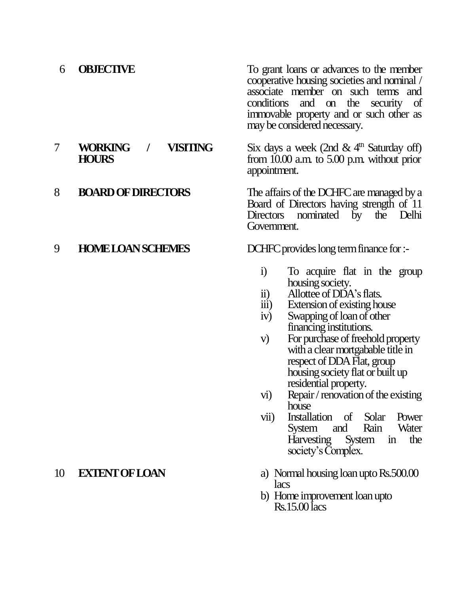6 **OBJECTIVE** To grant loans or advances to the member cooperative housing societies and nominal / associate member on such terms and conditions and on the security of immovable property and or such other as

7 **WORKING / VISITING HOURS**

## may be considered necessary. Six days a week (2nd  $\&$  4<sup>th</sup> Saturday off) from 10.00 a.m. to 5.00 p.m. without prior appointment.

8 **BOARD OF DIRECTORS** The affairs of the DCHFC are managed by a Board of Directors having strength of 11 Directors nominated by the Delhi Government.

9 **HOME LOAN SCHEMES** DCHFC provides long term finance for :-

- i) To acquire flat in the group housing society.
- ii) Allottee of DDA's flats.
- iii) Extension of existing house
- iv) Swapping of loan of other financing institutions.
- v) For purchase of freehold property with a clear mortgabable title in respect of DDA Flat, group housing society flat or built up residential property.
- vi) Repair / renovation of the existing house
- vii) Installation of Solar Power System and Rain Water Harvesting System in the society's Complex.
- 10 **EXTENT OF LOAN** a) Normal housing loan upto Rs.500.00 lacs
	- b) Home improvement loan upto Rs.15.00lacs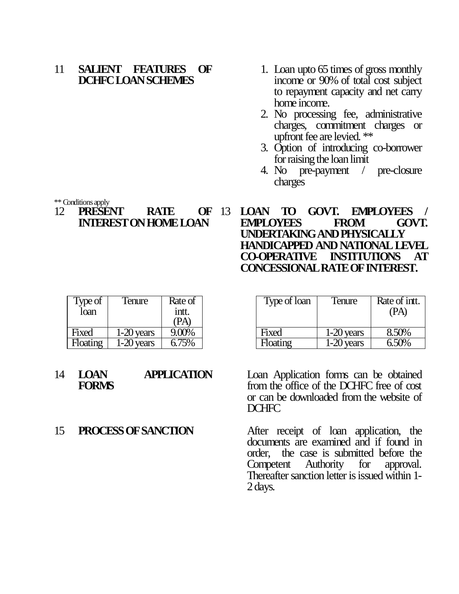### 11 **SALIENT FEATURES OF DCHFC LOAN SCHEMES**

- 1. Loan upto 65 times of gross monthly income or 90% of total cost subject to repayment capacity and net carry home income.
- 2. No processing fee, administrative charges, commitment charges or upfront fee are levied. \*\*
- 3. Option of introducing co-borrower for raising the loan limit
- 4. No pre-payment / pre-closure charges

\*\* Conditions apply

### 12 **PRESENT RATE OF INTEREST ON HOME LOAN**

**10 GOVT. EMPLOYEES / EMPLOYEES FROM GOVT. UNDERTAKING AND PHYSICALLY HANDICAPPED AND NATIONAL LEVEL CO-OPERATIVE INSTITUTIONS AT CONCESSIONAL RATE OF INTEREST.**

Type of loan Tenure Rate of intt.

| Type of<br>loan | Tenure     | Rate of<br>intt.<br><b>PA</b> | Type of loan    | Tenure       | Rate of in<br>(PA) |
|-----------------|------------|-------------------------------|-----------------|--------------|--------------------|
| Fixed           | 1-20 years | 9.00%                         | Fixed           | $1-20$ years | 8.50%              |
| <b>Hoating</b>  | 1-20 years | 6.75%                         | <b>Floating</b> | $1-20$ years | 6.50%              |

| 14 | <b>LOAN</b>  | <b>APPLICATION</b> |  |
|----|--------------|--------------------|--|
|    | <b>FORMS</b> |                    |  |

Loan Application forms can be obtained from the office of the DCHFC free of cost or can be downloaded from the website of DCHFC

15 **PROCESS OF SANCTION** After receipt of loan application, the documents are examined and if found in order, the case is submitted before the Competent Authority for approval. Thereafter sanction letter is issued within 1- 2 days.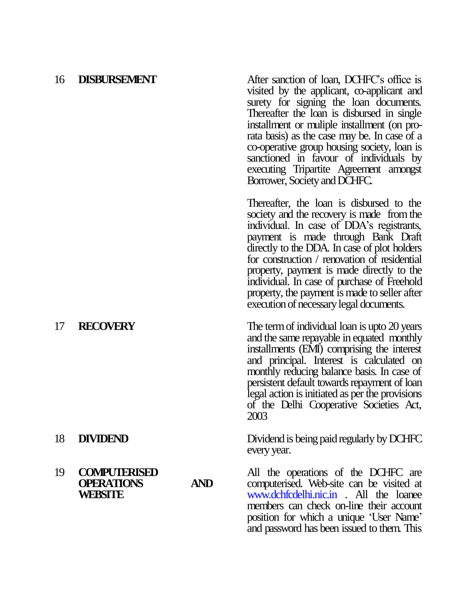16 **DISBURSEMENT** After sanction of loan, DCHFC"s office is visited by the applicant, co-applicant and surety for signing the loan documents. Thereafter the loan is disbursed in single installment or muliple installment (on prorata basis) as the case may be. In case of a co-operative group housing society, loan is sanctioned in favour of individuals by executing Tripartite Agreement amongst Borrower, Society and DCHFC.

> Thereafter, the loan is disbursed to the society and the recovery is made from the individual. In case of DDA"s registrants, payment is made through Bank Draft directly to the DDA. In case of plot holders for construction / renovation of residential property, payment is made directly to the individual. In case of purchase of Freehold property, the payment is made to seller after execution of necessary legal documents.

17 **RECOVERY** The term of individual loan is upto 20 years and the same repayable in equated monthly installments (EMI) comprising the interest and principal. Interest is calculated on monthly reducing balance basis. In case of persistent default towards repayment of loan legal action is initiated as per the provisions of the Delhi Cooperative Societies Act, 2003

18 **DIVIDEND** Dividend is being paid regularly by DCHFC every year.

> All the operations of the DCHFC are computerised. Web-site can be visited at www.dchfcdelhi.nic.in . All the loanee members can check on-line their account position for which a unique "User Name" and password has been issued to them. This

### 19 **COMPUTERISED OPERATIONS AND WEBSITE**